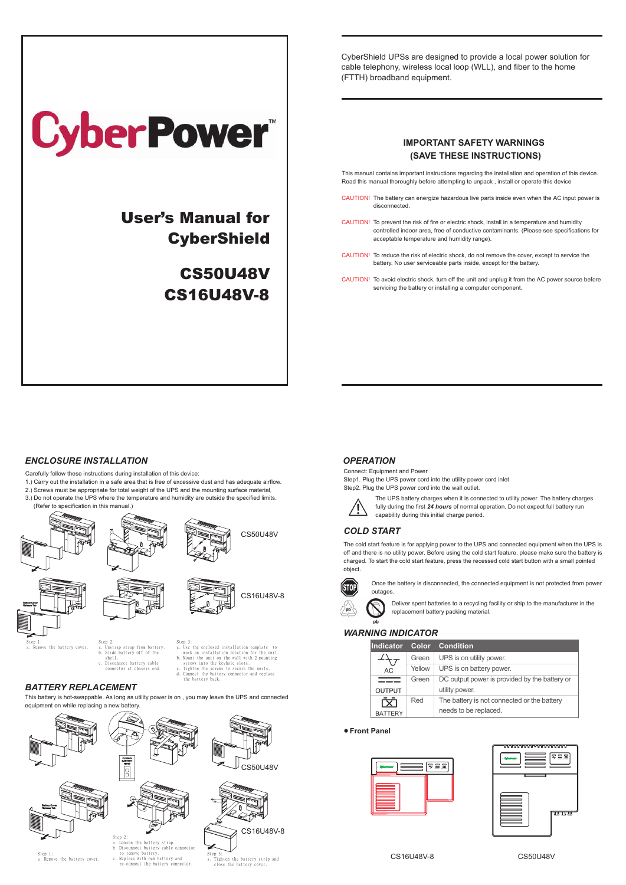| <b>CyberPower</b>                       |
|-----------------------------------------|
| User's Manual for<br><b>CyberShield</b> |
| <b>CS50U48V</b>                         |
| <b>CS16U48V-8</b>                       |
|                                         |
|                                         |

CyberShield UPSs are designed to provide a local power solution for cable telephony, wireless local loop (WLL), and fiber to the home (FTTH) broadband equipment.

# **IMPORTANT SAFETY WARNINGS (SAVE THESE INSTRUCTIONS)**

This manual contains important instructions regarding the installation and operation of this device. Read this manual thoroughly before attempting to unpack , install or operate this device

- CAUTION! The battery can energize hazardous live parts inside even when the AC input power is disconnected.
- CAUTION! To prevent the risk of fire or electric shock, install in a temperature and humidity controlled indoor area, free of conductive contaminants. (Please see specifications for acceptable temperature and humidity range).
- CAUTION! To reduce the risk of electric shock, do not remove the cover, except to service the battery. No user serviceable parts inside, except for the battery.
- CAUTION! To avoid electric shock, turn off the unit and unplug it from the AC power source before servicing the battery or installing a computer component.

## *ENCLOSURE INSTALLATION*

Carefully follow these instructions during installation of this device:

- 1.) Carry out the installation in a safe area that is free of excessive dust and has adequate airflow.
- 2.) Screws must be appropriate for total weight of the UPS and the mounting surface material.
- 3.) Do not operate the UPS where the temperature and humidity are outside the specified limits. (Refer to specification in this manual.)

### *BATTERY REPLACEMENT*

This battery is hot-swappable. As long as utility power is on , you may leave the UPS and connected equipment on while replacing a new battery.

Once the battery is disconnected, the connected equipment is not protected from power outages.

Deliver spent batteries to a recycling facility or ship to the manufacturer in the replacement battery packing material.

# *WARNING INDICATOR*

### *OPERATION*

Connect: Equipment and Power Step1. Plug the UPS power cord into the utility power cord inlet Step2. Plug the UPS power cord into the wall outlet.



The UPS battery charges when it is connected to utility power. The battery charges fully during the first *24 hours* of normal operation. Do not expect full battery run capability during this initial charge period.

## *COLD START*

The cold start feature is for applying power to the UPS and connected equipment when the UPS is off and there is no utility power. Before using the cold start feature, please make sure the battery is charged. To start the cold start feature, press the recessed cold start button with a small pointed object.



| ------------     |        |                                               |  |  |  |
|------------------|--------|-----------------------------------------------|--|--|--|
| <b>Indicator</b> |        | <b>Color Condition</b>                        |  |  |  |
|                  | Green  | UPS is on utility power.                      |  |  |  |
| AC               | Yellow | UPS is on battery power.                      |  |  |  |
|                  | Green  | DC output power is provided by the battery or |  |  |  |
| <b>OUTPUT</b>    |        | utility power.                                |  |  |  |
|                  | Red    | The battery is not connected or the battery   |  |  |  |
| <b>BATTERY</b>   |        | needs to be replaced.                         |  |  |  |

c. Disconnect battery cable connector at chassis end

shelf.

screws into the keyhole slots.<br>Tighten the screws to secure t lighten th d. Connect the battery connector and replace the battery back

mark an installation location for the unit.<br>b. Mount the unit on the wall with 2 mounting





### **Front Panel**

### CS16U48V-8 CS50U48V